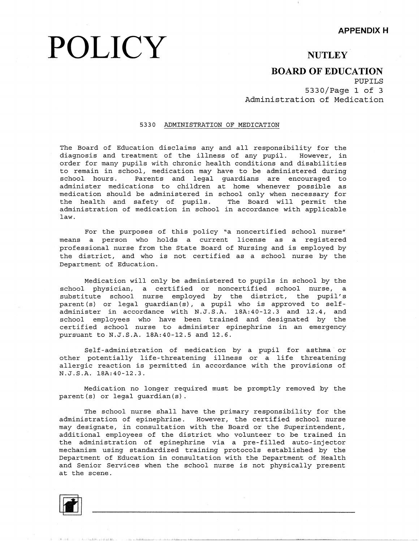# **POLICY**

### **NUTLEY**

### **BOARD OF EDUCATION**

PUPILS 5330/Page 1 of 3 Administration of Medication

### 5330 ADMINISTRATION OF MEDICATION

The Board of Education disclaims any and all responsibility for the diagnosis and treatment of the illness of any pupil. However, in order for many pupils with chronic health conditions and disabilities to remain in school, medication may have to be administered during school hours. Parents and legal guardians are encouraged to administer medications to children at home whenever possible as medication should be administered in school only when necessary for the health and safety of pupils. The Board will permit the administration of medication in school in accordance with applica $\mathfrak k$ law.

For the purposes of this policy "a noncertified school nurse" means a person who holds a current license as a registered professional nurse from the State Board of Nursing and is employed by the district, and who is not certified as a school nurse by the Department of Education.

Medication will only be administered to pupils in school by the school physician, a certified or noncertified school nurse, a substitute school nurse employed by the district, the pupil parent (s) or legal guardian(s), a pupil who is approved to selfadminister in accordance with N.J.S.A. lBA:40-12.3 and 12.4, and school employees who have been trained and designated by the certified school nurse to administer epinephrine in an emergency pursuant to N.J.S.A. lBA:40-12.5 and 12.6.

Self-administration of medication by a pupil for asthma or other potentially life-threatening illness or a life threatening allergic reaction is permitted in accordance with the provisions of N.J.S.A. lBA:40-12.3.

Medication no longer required must be promptly removed by the parent(s) or legal guardian(s).

The school nurse shall have the primary responsibility for the administration of epinephrine. However, the certified school nurse may designate, in consultation with the Board or the Superintendent, additional employees of the district who volunteer to be trained in the administration of epinephrine via a pre-filled auto-injector mechanism using standardized training protocols established by the Department of Education in consultation with the Department of Health and Senior Services when the school nurse is not physically present at the scene.



בשנת הבניה במסגרת המונה במונה במונה במונה במונה המונה היותר היותר במונה במונה במונה במונה מיוחד ממונה ממונה המ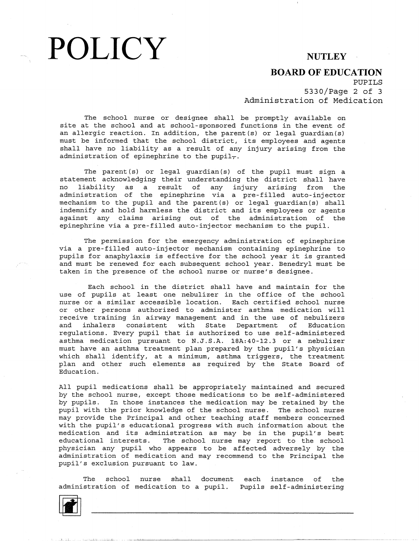## POLICY NUTLEY

### **BOARD OF EDUCATION**

PUPILS

5330/Page 2 of 3 Administration of Medication

The school nurse or designee shall be promptly available on site at the school and at school-sponsored functions in the event of an allergic reaction. In addition, the parent(s) or legal guardian must be informed that the school district, its employees and agent shall have no liability as a result of any injury arising from the administration of epinephrine to the pupil<sub>7</sub>.

The parent (s) or legal guardian (s) of the pupil must sign a statement acknowledging their understanding the district shall have no liability as a result of any injury arising from the administration of the epinephrine via a pre-filled auto-inje mechanism to the pupil and the parent(s) or legal guardian(s) shall indemnify and hold harmless the district and its employees or agents against any claims arising out of the administration of the epinephrine via a pre-filled auto-injector mechanism to the pupil.

The permission for the emergency administration of epinephrine via a pre-filled auto-injector mechanism containing epinephrine to pupils for anaphylaxis is effective for the school year it is granted and must be renewed for each subsequent school year. Benedryl must be taken in the presence of the school nurse or nurse's designee.

Each school in the district shall have and maintain for the use of pupils at least one nebulizer in the office of the school nurse or a similar accessible location. Each certified school nurse or other persons authorized to administer asthma medication will receive training in airway management and in the use of nebulizers and inhalers consistent with State Department of Education regulations. Every pupil that is authorized to use self-administered asthma medication pursuant to N.J.S.A. lSA:40-12.3 or a nebulizer must have an asthma treatment plan prepared by the pupil's physician which shall identify, at a minimum, asthma triggers, the treatment plan and other such elements as required by the State Board of Education.

All pupil medications shall be appropriately maintained and secured by the school nurse, except those medications to be self-administered by pupils. In those instances the medication may be retained by the pupil with the prior knowledge of the school nurse. The school nurse may provide the Principal and other teaching staff members concerned with the pupil's educational progress with such information about the medication and its administration as may be in the pupil's best educational interests. The school nurse may report to the school physician any pupil who appears to be affected adversely by the administration of medication and may recommend to the Principal the pupil's exclusion pursuant to law.

The school nurse shall document each administration of medication to a pupil. Pupils self-administ instance of the